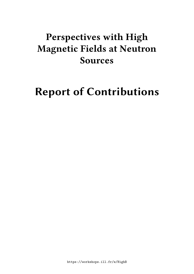## **Perspectives with High Magnetic Fields at Neutron Sources**

# **Report of Contributions**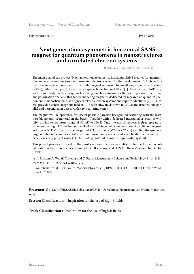Contribution ID : **4** Type : **Oral**

#### **Next generation asymmetric horizontal SANS magnet for quantum phenomena in nanostructures and correlated electron systems**

*Wednesday, 2 November 2022 15:00 (30)*

The main goal of the project "Next generation asymmetric horizontal SANS magnet for quantum phenomena in nanostructures and correlated electron systems" is the development of a high performance compensated asymmetric horizontal magnet optimized for small angle neutron scattering (SANS), reflectometry and the resonance spin echo technique MIEZE [1] (Modulation of IntEnsity with Zero Effort). With an asymmetric coil geometry allowing for the use of polarized neutrons and polarization analysis, this superconducting magnet is dedicated for research on quantum phenomena in nanostructures, strongly correlated electron systems and superconductivity [2]. NSHM will provide a central magnetic field of ~10T with stray fields down to 10G at 1m distance, and parallel and perpendicular access with ±10° scattering cones.

The magnet will be optimized for lowest possible parasitic background scattering with the least possible amount of material in the beam. Together with a dedicated integrated cryostat, it will offer a wide temperature range of 50 mK to 350 K. Only the use of modern high-temperature superconducting (HTS) technology will allow the fringe field compensation of a split coil magnet as large as NHSM at reasonable weight  $(\sim 750 \text{ kg})$  and size  $(\sim 75 \text{ cm} \times 75 \text{ cm})$  enabling the use on a large number of beamlines at MLZ with minimized interference and stray fields. The magnet will be a pioneering project using HTS technology without cryogenic liquids (dry system).

This project proposal is based on the results achieved by two feasibility studies performed in collaboration with the companies Bilfinger-Noell (Germany) and HTS-110 (New Zealand), funded by BMBF.

[1] J. Jochum, A. Wendl, T. Keller and C. Franz, Measurement Science and Technology 31, 3 (2020) 035902, DOI: 10.1088/1361-6501/ab5358

S. Mühlbauer et al., Reviews of Modern Physics 91 (2019) 015004, DOI: DOI: 10.1103/RevMod-Phys.91.015004

**Presenter(s) :** Dr. MÜHLBAUER, Sebastian (FRM II — Forschungs-Neutronenquelle Heinz Maier-Leibnitz)

**Session Classification :** Inspiration for the use of high-B fields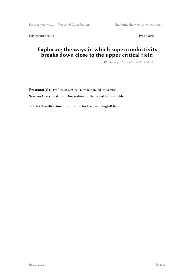Perspectives wit ... / Report of Contributions Exploring the ways in which supe ...

Contribution ID : **5** Type : **Oral** 

#### **Exploring the ways in which superconductivity breaks down close to the upper critical field**

*Wednesday, 2 November 2022 14:30 (30)*

**Presenter(s) :** Prof. BLACKBURN, Elizabeth (Lund University) **Session Classification :** Inspiration for the use of high-B fields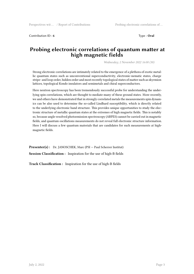Contribution ID : **6** Type : **Oral** 

#### **Probing electronic correlations of quantum matter at high magnetic fields**

*Wednesday, 2 November 2022 16:00 (30)*

Strong electronic correlations are intimately related to the emergence of a plethora of exotic metallic quantum states such as unconventional superconductivity, electronic-nematic states, charge stripe- and loop order, hidden order and most recently topological states of matter such as skyrmion lattices, topological Kondo insulators and semimetals and chiral superconductors.

Here neutron spectroscopy has been tremendously successful probe for understanding the underlying spin correlations, which are thought to mediate many of these ground states. More recently, we and others have demonstrated that in strongly correlated metals the measurements spin dynamics can be also used to determine the so-called Lindhard susceptibility, which is directly related to the underlying electronic band structure. This provides unique opportunities to study the electronic structure of metallic quantum states at the extremes of high magnetic fields. This is notably so, because angle-resolved photoemission spectroscopy (ARPES) cannot be carried out in magnetic fields, and quantum oscillations measurements do not reveal full electronic structure information. Here I will discuss a few quantum materials that are candidates for such measurements at highmagnetic fields.

Presenter(s) : Dr. JANOSCHEK, Marc (PSI - Paul Scherrer Institut) **Session Classification :** Inspiration for the use of high-B fields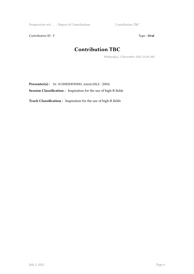Perspectives wit ... / Report of Contributions Contribution TBC

Contribution ID : **7** Type : **Oral** 

## **Contribution TBC**

*Wednesday, 2 November 2022 16:30 (30)*

**Presenter(s) :** Dr. SCHNEIDEWIND, Astrid (MLZ - JSNS)

**Session Classification :** Inspiration for the use of high-B fields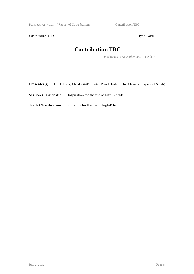Perspectives wit ... / Report of Contributions Contribution TBC

Contribution ID : **8** Type : **Oral** 

## **Contribution TBC**

*Wednesday, 2 November 2022 17:00 (30)*

Presenter(s) : Dr. FELSER, Claudia (MPI – Max Planck Institute for Chemical Physics of Solids)

**Session Classification :** Inspiration for the use of high-B fields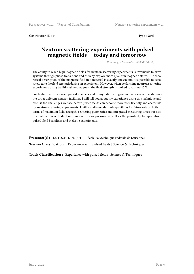Contribution ID: 9 Type: Oral

#### **Neutron scattering experiments with pulsed magnetic fields — today and tomorrow**

*Thursday, 3 November 2022 08:30 (30)*

The ability to reach high magnetic fields for neutron scattering experiments is invaluable to drive systems through phase transitions and thereby explore more quantum magnetic states. The theoretical description of the magnetic field in a material is exactly known and it is possible to accurately tune the field strength during an experiment. However, when performing neutron scattering experiments using traditional cryomagnets, the field strength is limited to around 15 T.

For higher fields, we need pulsed magnets and in my talk I will give an overview of the state-ofthe-art at different neutron facilities. I will tell you about my experience using this technique and discuss the challenges we face before pulsed fields can become more user-friendly and accessible for neutron scattering experiments. I will also discuss desired capabilities for future setups, both in terms of maximum field strength, scattering geometries and integrated measuring times but also in combination with dilution temperatures or pressure as well as the possibility for specialised pulsed-field beamlines and inelastic experiments.

**Presenter(s) :** Dr. FOGH, Ellen (EPFL — École Polytechnique Fédérale de Lausanne) **Session Classification :** Experience with pulsed fields | Science & Techniques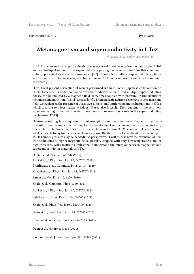Contribution ID : **10** Type : **Oral**

#### **Metamagnetism and superconductivity in UTe2**

*Thursday, 3 November 2022 09:00 (30)*

In 2019, unconventional superconductivity was observed in the heavy-fermion paramagnet UTe2 and a spin-triplet nature of the superconducting pairing has been proposed for this compound initially presented as a nearly-ferromagnet [1,2]. Soon after, multiple superconducting phases were found to develop near magnetic transitions in UTe2 under intense magnetic fields and high pressures [3-8].

Here, I will present a selection of results performed within a French-Japanese collaboration on UTe2. Experiments under combined extreme conditions showed that multiple superconducting phases can be induced by a magnetic field, sometimes coupled with pressure, in the vicinity of metamagnetic transitions [4,6,8] (see also [5,7]). From inelastic neutron scattering at zero magnetic field, we evidenced the presence of quasi-two-dimensional antiferromagnetic fluctuations in UTe2, which is also a two-legs magnetic ladder [9] (see also [10,11]). Their gapping in the zero-field superconducting phase indicates that these fluctuations may play a role in the superconducting mechanism [12-13].

Neutron scattering is a unique tool to microscopically unravel the role of magnetism, and particularly of the magnetic fluctuations, for the development of unconventional superconductivity in correlated-electrons materials. However, metamagnetism in UTe2 occurs at fields far beyond what is feasible today for inelastic neutron scattering (fields up to 36 T at ambient pressure, or up to 15-20 T under pressure may be needed). As perspectives, I will discuss how the extension of neutron techniques to higher magnetic fields, possibly coupled with very low temperatures and/or high pressures, will constitute a milestone to understand the interplay between magnetism and superconductivity in materials as UTe2.

[1] Ran et al., Science 365, 684 (2019).

Aoki et al., J. Phys. Soc. Jpn. 88, 043702 (2019).

Braithwaite et al., Commun. Phys. 2, 147 (2019).

Knebel et al., J. Phys. Soc. Jpn. 88, 063707 (2019).

Ran et al., Nat. Phys. 15, 1250 (2019).

Knafo et al., Commun. Phys. 4, 40 (2021).

Aoki et al., J. Phys. Soc. Jpn. 89, 053705 (2020).

Valiska et al., Phys. Rev. B 104, 214507 (2021).

Knafo et al., Phys. Rev. B 104, L100409 (2021).

Duan et al., Phys. Rev. Lett. 125, 237003 (2020).

Butch et al., npj Quantum Materials 7, 39 (2022).

Duan et al., Nature 600, 636 (2021).

Raymond et al., J. Phys. Soc. Jpn. 90, 113706 (2021).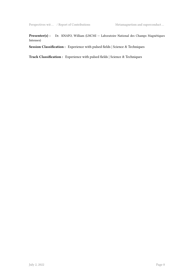#### **Presenter(s) :** Dr. KNAFO, William (LNCMI — Laboratoire National des Champs Magnétiques Intenses)

**Session Classification :** Experience with pulsed fields | Science & Techniques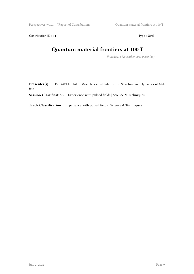Perspectives wit ... / Report of Contributions  $\qquad Q$ uantum material frontiers at 100 T

Contribution ID : **11** Type : **Oral** 

### **Quantum material frontiers at 100 T**

*Thursday, 3 November 2022 09:30 (30)*

Presenter(s) : Dr. MOLL, Philip (Max-Planck-Institute for the Structure and Dynamics of Matter)

**Session Classification :** Experience with pulsed fields | Science & Techniques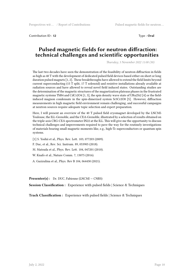Contribution ID : **12** Type : **Oral** 

#### **Pulsed magnetic fields for neutron diffraction: technical challenges and scientific opportunities**

*Thursday, 3 November 2022 11:00 (30)*

The last two decades have seen the demonstration of the feasibility of neutron diffraction in fields as high as 40 T with the development of dedicated pulsed field devices based either on short or long duration pulsed magnets [1, 2]. These breakthroughs have allowed to extend the field limits beyond current superconducting (15 T split, 17 T solenoid) and resistive installations already available at radiation sources and have allowed to reveal novel field induced states. Outstanding studies are the determination of the magnetic structures of the magnetization plateaus phases in the frustrated magnetic systems TbB4 and CdCr2O4 [1, 3], the spin density wave state of URu2Si2 [4] or the fieldinduced magnon condensate in the spin-dimerized system Sr3Cr2O8 [5]. However, diffraction measurements in high magnetic field environment remain challenging, and successful campaigns at neutron sources require adequate topic selection and expert preparation.

Here, I will present an overview of the 40 T pulsed field cryomagnet developed by the LNCMI-Toulouse, the ILL-Grenoble, and the CEA-Grenoble, illustrated by a selection of results obtained on the triple-axis CRG-CEA spectrometer IN22 at the ILL. This will give me the opportunity to discuss technical challenges and improvements required to pave the way for the routinely investigations of materials bearing small magnetic moments like, e.g., high-Tc superconductors or quantum spin systems.

[1] S. Yoshii et al., Phys. Rev. Lett. 103, 077203 (2009).

F. Duc, et al., Rev. Sci. Instrum. 89, 053905 (2018).

M. Matsuda et al., Phys. Rev. Lett. 104, 047201 (2010).

W. Knafo et al., Nature Comm. 7, 13075 (2016).

A. Gazizulina et al., Phys. Rev B 104, 064430 (2021).

Presenter(s) : Dr. DUC, Fabienne (LNCMI – CNRS)

**Session Classification :** Experience with pulsed fields | Science & Techniques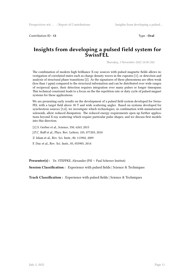Contribution ID : **13** Type : **Oral** 

#### **Insights from developing a pulsed field system for SwissFEL**

*Thursday, 3 November 2022 10:30 (30)*

The combination of modern high brilliance X-ray sources with pulsed magnetic fields allows investigation of correlated states such as charge density waves in the cuprates [1], or detection and analysis of structural phase transitions [2]. As the signatures of these phenomena are often weak (less than 1 ppm) compared to the structural information and can be distributed over wide ranges of reciprocal space, their detection requires integration over many pulses or longer timespans. This technical constraint leads to a focus on the the repetition rate or duty cycle of pulsed magnet systems for these applications.

We are presenting early results on the development of a pulsed field system developed for Swiss-FEL with a target field above 30 T and wide scattering angles. Based on systems developed for synchrotron sources [3,4], we investigate which technologies, in combination with miniaturized solenoids, allow reduced dissipation. The reduced energy requirements open up further applications beyond X-ray scattering which require particular pulse shapes, and we discuss first models into this direction.

[1] S. Gerber et al., Science, 350, 6263, 2015 J.P.C. Ruff et al., Phys. Rev. Letters, 105, 077203, 2010 Z. Islam et al., Rev. Sci. Instr., 80, 113902, 2009 F. Duc et al., Rev. Sci. Instr., 85, 053905, 2014

Presenter(s) : Dr. STEPPKE, Alexander (PSI – Paul Scherrer Institut)

**Session Classification :** Experience with pulsed fields | Science & Techniques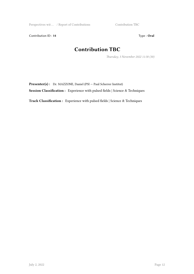Perspectives wit ... / Report of Contributions Contribution TBC

Contribution ID : **14** Type : **Oral** 

## **Contribution TBC**

*Thursday, 3 November 2022 11:30 (30)*

Presenter(s) : Dr. MAZZONE, Daniel (PSI – Paul Scherrer Institut)

**Session Classification :** Experience with pulsed fields | Science & Techniques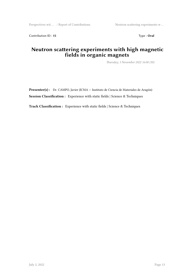Contribution ID : **15** Type : **Oral** 

#### **Neutron scattering experiments with high magnetic fields in organic magnets**

*Thursday, 3 November 2022 16:00 (30)*

Presenter(s) : Dr. CAMPO, Javier (ICMA — Instituto de Ciencia de Materiales de Aragón) **Session Classification :** Experience with static fields | Science & Techniques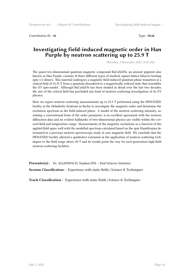Contribution ID : **16** Type : **Oral**

#### **Investigating field-induced magnetic order in Han Purple by neutron scattering up to 25.9 T**

*Thursday, 3 November 2022 14:30 (30)*

The quasi-two-dimensional quantum magnetic compound BaCuSi2O6, an ancient pigment also known as Han Purple, consists of three different types of stacked, square-lattice bilayers hosting spin-1/2 dimers. This material undergoes a magnetic-field-induced quantum phase transition at a critical field of 23.35 T from a quantum disordered to a magnetically ordered state that resembles the XY spin-model. Although BaCuSi2O6 has been studied in detail over the last two decades, the size of the critical field has precluded any kind of neutron scattering investigation of its XY physics.

Here we report neutron scattering measurements up to 25.9 T performed using the HFM/EXED facility at the Helmholtz-Zentrum in Berlin to investigate the magnetic order and determine the excitation spectrum in the field-induced phase. A model of the neutron scattering intensity, assuming a conventional form of the order parameter, is in excellent agreement with the neutron diffraction data and no evident hallmarks of two-dimensional physics are visible within the covered field and temperature range. Measurements of the magnetic excitations as a function of the applied field agree well with the modelled spectrum calculated based on the spin Hamiltonian determined in a previous neutron spectroscopy study at zero magnetic field. We conclude that the HFM/EXED facility allowed a qualitative extension in the application of neutron scattering techniques to the field range above 20 T and its results point the way for next-generation high-field neutron scattering facilities.

Presenter(s) : Dr. ALLENSPACH, Stephan (PSI - Paul Scherrer Institute) **Session Classification :** Experience with static fields | Science & Techniques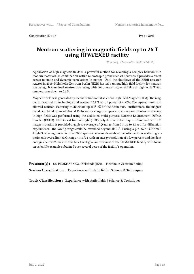Contribution ID : **17** Type : **Oral** 

#### **Neutron scattering in magnetic fields up to 26 T using HFM/EXED facility**

*Thursday, 3 November 2022 14:00 (30)*

Application of high magnetic fields is a powerful method for revealing a complex behaviour in modern materials. In combination with a microscopic probe such as neutrons it provides a direct access to static and dynamic correlations in matter. Until the shutdown of the BERII research reactor in 2019, Helmholtz-Zentrum Berlin (HZB) hosted a unique high field facility for neutron scattering. It combined neutron scattering with continuous magnetic fields as high as 26 T and temperatures down to 0.1 K.

Magnetic field was generated by means of horizontal solenoid High Field Magnet (HFM). The magnet utilised hybrid technology and reached 25.9 T at full power of 4 MW. The tapered inner coil allowed neutron scattering to detectors up to  $\boxtimes 15\%$  off the beam axis. Furthermore, the magnet could be rotated by an additional 15° to access a larger reciprocal space region. Neutron scattering in high fields was performed using the dedicated multi-purpose Extreme Environment Diffractometer (EXED). EXED used time-of-flight (TOF) polychromatic technique. Combined with 15° magnet rotation it provided a gapless coverage of Q-range from 0.1 up to 12 Å-1 for diffraction experiments. The low-Q range could be extended beyond 10-2 Å-1 using a pin-hole TOF Small Angle Scattering mode. A direct TOF spectrometer mode enabled inelastic neutron scattering experiments over a limited Q-range < 1.8 Å-1 with an energy resolution of a few percent and incident energies below 25 meV. In this talk I will give an overview of the HFM/EXED facility with focus on scientific examples obtained over several years of the facility's operation.

Presenter(s) : Dr. PROKHNENKO, Oleksandr (HZB - Helmholtz-Zentrum Berlin) **Session Classification :** Experience with static fields | Science & Techniques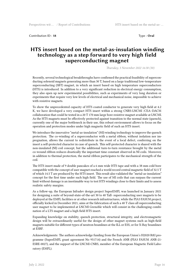Contribution ID : **18** Type : **Oral** 

#### **HTS insert based on the metal-as-insulation winding technology as a step forward to very high field superconducting magnet**

*Thursday, 3 November 2022 16:30 (30)*

Recently, several technological breakthroughs have confirmed the practical feasibility of superconducting solenoid magnets generating more than 30 T, based on a large traditional low-temperature superconducting (SBT) magnet, in which an insert based on high temperature superconductors (HTS) is introduced. In addition to a very significant reduction in electrical energy consumption, they also open up new experimental possibilities, such as experiments of very long duration or experiments that require very low levels of electrical and mechanical noise, impossible to achieve with resistive magnets.

To show the unprecedented capacity of HTS coated conductor to generate very high field at 4.2 K, we have developed a very compact HTS insert within a strong CNRS-LNCMI /CEA–DACM collaboration that could be tested in a 20 T 170 mm large bore resistive magnet available at LNCMI. As the HTS magnets must be effectively protected against transition to the normal state (quench), currently one of the major bottleneck in their use, this robust environment allows to focus on the operation and protection modes under high magnetic field of such an HTS insert.

We introduce the innovative "metal-as-insulation" (MI) winding technology to improve the quench protection. The co-winding of a superconductor with a metal ribbon, without isolation nor impregnation, allows the current to redistribute in the event of a local defect, conferring on the insert a self-protected character in case of quench. This self-protected character is shared with the non-insulated (NI) coil concept, but the additional turn-to-turn resistance brought by the metal co-wound ribbon reduces drastically the important time constant observed in NI coils. Moreover, in addition to thermal protection, the metal ribbon participates to the mechanical strength of the coil.

The HTS insert made of 9 double pancakes of a 6 mm wide HTS tape and with a 38 mm cold bore compatible with the concept of user magnet reached a world record central magnetic field of 32.5 T of which 14.5 T are produced by the HTS insert. This result also validated the "metal-as-insulation" concept for the first time under such high field. The use of MI coils that can surpass the current limit without damage is an inestimable way to test HTS windings close to their limits and to assess realistic safety margins.

As a follow-up, the European Infradev design project SuperEMFL was launched in January 2021 for designing a suite of beyond-state-of-the-art 30 to 40 Tall- superconducting user magnets to be deployed at the EMFL facilities or at other research infrastructures, while the PIA3 FASUM project, officially kicked in December 2021, aims at the fabrication of such a 40 T class all superconducting user magnet to be implemented at LNCMI Grenoble which will consist in the challenging combination of a LTS magnet and a high field HTS insert.

Expanding knowledge on stability, quench protection, structural integrity, and electromagnetic design will be extraordinarily useful for the design of other magnet systems such as high-field magnets suitable for different types of neutron beamlines at the ILL or ESS, or for X-Ray beamlines at ESRF.

Acknowledgments: The authors acknowledge funding from the European Union's H2020 R&I programme (SuperEMFL grant agreement No 951714) and the French ANR (PIA3 FASUM ANR-21- ESRE-0027), and the support of the LNCMI-CNRS, member of the European Magnetic Field Laboratory (EMFL).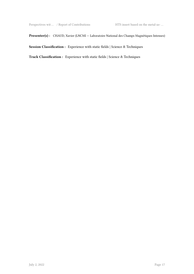#### Presenter(s) : CHAUD, Xavier (LNCMI – Laboratoire National des Champs Magnétiques Intenses)

**Session Classification :** Experience with static fields | Science & Techniques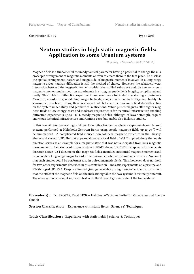Contribution ID : **19** Type : **Oral**

#### **Neutron studies in high static magnetic fields: Application to some Uranium systems**

*Thursday, 3 November 2022 15:00 (30)*

Magnetic field is a fundamental thermodynamical parameter having a potential to change the miscroscopic arrangement of magnetic moments or even to create them in the first place. To disclose the spatial arrangement, nature and magnitude of magnetic moments involved in a long-range magnetic order, neutron diffraction is still the method of choice. However, the relatively weak interaction between the magnetic moments within the studied substance and the neutron's own magnetic moment makes neutron experiments in strong magnetic fields lengthy, complicated and costly. This holds for diffraction experiments and even more for inelastic scattering experiments. Moreover, in order to generate high magnetic fields, magnet coils tend to be large and highly obscuring neutron beam. Thus, there is always trade between the maximum field strength acting on the system under study and geometrical restrictions. While pulsed magnets offer higher magnetic fields at low energy costs and moderate requirements for technical infrastructure enabling diffraction experiments up to ~40 T, steady magnetic fields, although of lower strength, require enormous technical infractructure and running costs but enable also inelastic studies.

In this contribution several high-field neutron diffraction and scattering experiments on U-based systems performed at Helmholtz-Zentrum Berlin using steady magnetic fields up to 26 T will be summarized. A complicated field-induced non-collinear magnetic structure in the Shastry-Shuterland system U2Pd2In that appears above a critical field of ~25 T applied along the a-axis direction serves as an example for a magnetic state that was not anticipated from bulk magnetic measurements. Field-induced magnetic state in 8%-Rh doped URu2Si2 that appears for the c-axis direction above ~22 T documents that magnetic field can induce substantial magnetic moments and even create a long-range magnetic order - an uncompensated antiferromagnetic order. No doubt that such studies could be performer also in pulsed magnetic fields. This, however, does not hold for two other experiments described in this contribution – inelastic experiments on a pristine and 8%-Rh doped URu2Si2. Despite a limited Q-range available during these experiments it is shown that the effect of the magnetic field on the inelastic signal in the two systems is distinctly different. The observation is brought into a context with the different ground state of the two systems.

**Presenter(s) :** Dr. PROKES, Karel (HZB — Helmholtz-Zentrum Berlin für Materialien und Energie GmbH)

**Session Classification :** Experience with static fields | Science & Techniques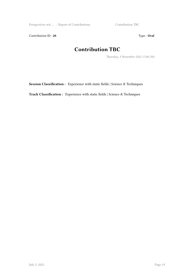Perspectives wit … / Report of Contributions Contribution TBC

Contribution ID : 20 Type : Oral

## **Contribution TBC**

*Thursday, 3 November 2022 17:00 (30)*

**Session Classification :** Experience with static fields | Science & Techniques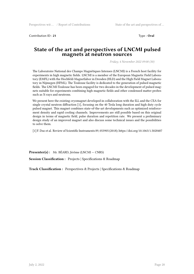Contribution ID : 21 Type : **Oral** 

#### **State of the art and perspectives of LNCMI pulsed magnets at neutron sources**

*Friday, 4 November 2022 09:00 (30)*

The Laboratoire National des Champs Magnétiques Intenses (LNCMI) is a French host facility for experiments in high magnetic fields. LNCMI is a member of the European Magnetic Field Laboratory (EMFL) with the Hochfeld-Magnetlabor in Dresden (HLD) and the High Field Magnet Laboratory in Nijmegen (HFML). The Toulouse facility is dedicated to the generation of pulsed magnetic fields. The LNCMI-Toulouse has been engaged for two decades in the development of pulsed magnets suitable for experiments combining high magnetic fields and other condensed matter probes such as X-rays and neutrons.

We present here the existing cryomagnet developed in collaboration with the ILL and the CEA for single crystal neutron diffraction [1], focusing on the 40 Tesla long duration and high duty cycle pulsed magnet. This magnet combines state-of-the-art developments such as optimized reinforcement density and rapid cooling channels. Improvements are still possible based on this original design in terms of magnetic field, pulse duration and repetition rate. We present a preliminary design study of an improved magnet and also discuss some technical issues and the possibilities to solve them.

[1] F. Duc et al. Review of Scientific Instruments 89, 053905 (2018); https://doi.org/10.1063/1.5028487

**Presenter(s) :** Mr. BÉARD, Jérôme (LNCMI — CNRS)

**Session Classification :** Projects | Specifications & Roadmap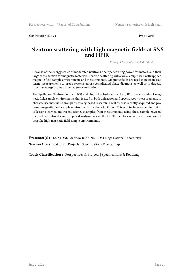Contribution ID : **22** Type : **Oral**

#### **Neutron scattering with high magnetic fields at SNS and HFIR**

*Friday, 4 November 2022 08:30 (30)*

Because of the energy scales of moderated neutrons, their penetrating power for metals, and their large cross-section for magnetic materials, neutron scattering will always couple well with applied magnetic field sample environments and measurements. Magnetic fields are used in neutron scattering measurements to probe systems across complicated phase diagrams as well as to directly tune the energy scales of the magnetic excitations.

The Spallation Neutron Source (SNS) and High Flux Isotope Reactor (HFIR) have a suite of magnetic field sample environments that is used in both diffraction and spectroscopy measurements to characterise materials through discovery-based research. I will discuss recently acquired and proposed magnetic field sample environments for these facilities. This will include some discussion of lessons learned and recent science examples from measurements using these sample environments. I will also discuss proposed instruments at the ORNL facilities which will make use of bespoke high magnetic field sample environments.

**Presenter(s) :** Dr. STONE, Matthew B. (ORNL – Oak Ridge National Laboratory) **Session Classification :** Projects | Specifications & Roadmap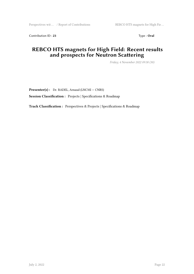Contribution ID: 23 Type: Oral

#### **REBCO HTS magnets for High Field: Recent results and prospects for Neutron Scattering**

*Friday, 4 November 2022 09:30 (30)*

**Presenter(s) :** Dr. BADEL, Arnaud (LNCMI — CNRS) **Session Classification :** Projects | Specifications & Roadmap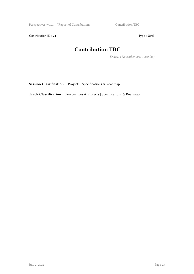Perspectives wit … / Report of Contributions Contribution TBC

Contribution ID : 24 Type : Oral

## **Contribution TBC**

*Friday, 4 November 2022 10:30 (30)*

**Session Classification :** Projects | Specifications & Roadmap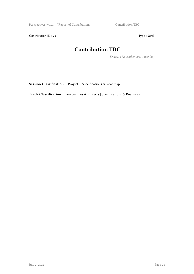Perspectives wit … / Report of Contributions Contribution TBC

Contribution ID : 25 Type : **Oral** 

## **Contribution TBC**

*Friday, 4 November 2022 11:00 (30)*

**Session Classification :** Projects | Specifications & Roadmap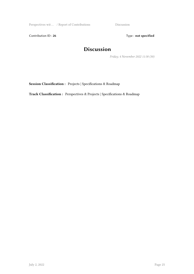Perspectives wit … / Report of Contributions Discussion

Contribution ID: 26 Type: **not specified** 

## **Discussion**

*Friday, 4 November 2022 11:30 (30)*

**Session Classification :** Projects | Specifications & Roadmap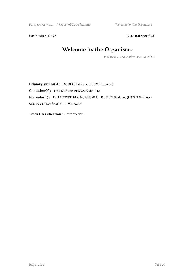Perspectives wit ... / Report of Contributions Welcome by the Organisers

Contribution ID : 28 Type : **not specified** 

## **Welcome by the Organisers**

*Wednesday, 2 November 2022 14:00 (10)*

Primary author(s) : Dr. DUC, Fabienne (LNCMI Toulouse) **Co-author(s) :** Dr. LELIÈVRE-BERNA, Eddy (ILL) **Presenter(s) :** Dr. LELIÈVRE-BERNA, Eddy (ILL); Dr. DUC, Fabienne (LNCMI Toulouse) **Session Classification :** Welcome

**Track Classification :** Introduction